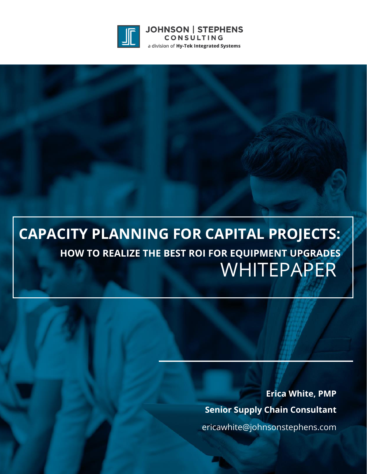

**JOHNSON | STEPHENS** CONSULTING a division of Hy-Tek Integrated Systems

# **CAPACITY PLANNING FOR CAPITAL PROJECTS: HOW TO REALIZE THE BEST ROI FOR EQUIPMENT UPGRADES** WHITEPAPER

**Erica White, PMP Senior Supply Chain Consultant** ericawhite@johnsonstephens.com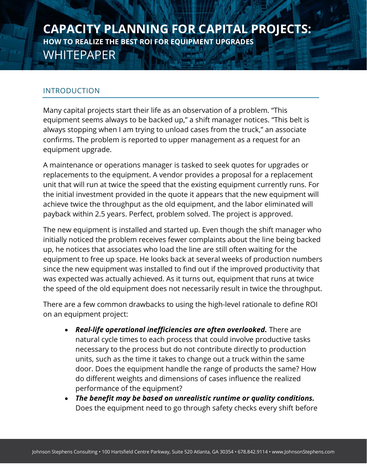#### INTRODUCTION

Many capital projects start their life as an observation of a problem. "This equipment seems always to be backed up," a shift manager notices. "This belt is always stopping when I am trying to unload cases from the truck," an associate confirms. The problem is reported to upper management as a request for an equipment upgrade.

A maintenance or operations manager is tasked to seek quotes for upgrades or replacements to the equipment. A vendor provides a proposal for a replacement unit that will run at twice the speed that the existing equipment currently runs. For the initial investment provided in the quote it appears that the new equipment will achieve twice the throughput as the old equipment, and the labor eliminated will payback within 2.5 years. Perfect, problem solved. The project is approved.

The new equipment is installed and started up. Even though the shift manager who initially noticed the problem receives fewer complaints about the line being backed up, he notices that associates who load the line are still often waiting for the equipment to free up space. He looks back at several weeks of production numbers since the new equipment was installed to find out if the improved productivity that was expected was actually achieved. As it turns out, equipment that runs at twice the speed of the old equipment does not necessarily result in twice the throughput.

There are a few common drawbacks to using the high-level rationale to define ROI on an equipment project:

- *Real-life operational inefficiencies are often overlooked.* There are natural cycle times to each process that could involve productive tasks necessary to the process but do not contribute directly to production units, such as the time it takes to change out a truck within the same door. Does the equipment handle the range of products the same? How do different weights and dimensions of cases influence the realized performance of the equipment?
- *The benefit may be based on unrealistic runtime or quality conditions.* Does the equipment need to go through safety checks every shift before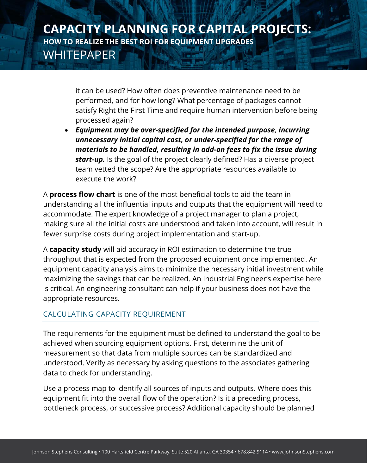it can be used? How often does preventive maintenance need to be performed, and for how long? What percentage of packages cannot satisfy Right the First Time and require human intervention before being processed again?

• *Equipment may be over-specified for the intended purpose, incurring unnecessary initial capital cost, or under-specified for the range of materials to be handled, resulting in add-on fees to fix the issue during start-up.* Is the goal of the project clearly defined? Has a diverse project team vetted the scope? Are the appropriate resources available to execute the work?

A **process flow chart** is one of the most beneficial tools to aid the team in understanding all the influential inputs and outputs that the equipment will need to accommodate. The expert knowledge of a project manager to plan a project, making sure all the initial costs are understood and taken into account, will result in fewer surprise costs during project implementation and start-up.

A **capacity study** will aid accuracy in ROI estimation to determine the true throughput that is expected from the proposed equipment once implemented. An equipment capacity analysis aims to minimize the necessary initial investment while maximizing the savings that can be realized. An Industrial Engineer's expertise here is critical. An engineering consultant can help if your business does not have the appropriate resources.

#### CALCULATING CAPACITY REQUIREMENT

The requirements for the equipment must be defined to understand the goal to be achieved when sourcing equipment options. First, determine the unit of measurement so that data from multiple sources can be standardized and understood. Verify as necessary by asking questions to the associates gathering data to check for understanding.

Use a process map to identify all sources of inputs and outputs. Where does this equipment fit into the overall flow of the operation? Is it a preceding process, bottleneck process, or successive process? Additional capacity should be planned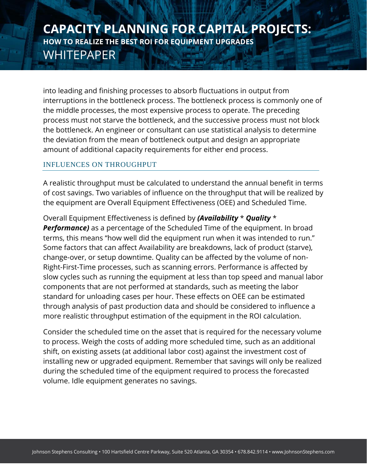into leading and finishing processes to absorb fluctuations in output from interruptions in the bottleneck process. The bottleneck process is commonly one of the middle processes, the most expensive process to operate. The preceding process must not starve the bottleneck, and the successive process must not block the bottleneck. An engineer or consultant can use statistical analysis to determine the deviation from the mean of bottleneck output and design an appropriate amount of additional capacity requirements for either end process.

#### INFLUENCES ON THROUGHPUT

A realistic throughput must be calculated to understand the annual benefit in terms of cost savings. Two variables of influence on the throughput that will be realized by the equipment are Overall Equipment Effectiveness (OEE) and Scheduled Time.

Overall Equipment Effectiveness is defined by *(Availability* \* *Quality* \* *Performance)* as a percentage of the Scheduled Time of the equipment. In broad terms, this means "how well did the equipment run when it was intended to run." Some factors that can affect Availability are breakdowns, lack of product (starve), change-over, or setup downtime. Quality can be affected by the volume of non-Right-First-Time processes, such as scanning errors. Performance is affected by slow cycles such as running the equipment at less than top speed and manual labor components that are not performed at standards, such as meeting the labor standard for unloading cases per hour. These effects on OEE can be estimated through analysis of past production data and should be considered to influence a more realistic throughput estimation of the equipment in the ROI calculation.

Consider the scheduled time on the asset that is required for the necessary volume to process. Weigh the costs of adding more scheduled time, such as an additional shift, on existing assets (at additional labor cost) against the investment cost of installing new or upgraded equipment. Remember that savings will only be realized during the scheduled time of the equipment required to process the forecasted volume. Idle equipment generates no savings.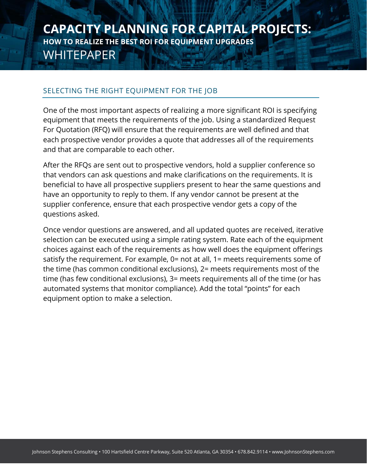#### SELECTING THE RIGHT EQUIPMENT FOR THE JOB

One of the most important aspects of realizing a more significant ROI is specifying equipment that meets the requirements of the job. Using a standardized Request For Quotation (RFQ) will ensure that the requirements are well defined and that each prospective vendor provides a quote that addresses all of the requirements and that are comparable to each other.

After the RFQs are sent out to prospective vendors, hold a supplier conference so that vendors can ask questions and make clarifications on the requirements. It is beneficial to have all prospective suppliers present to hear the same questions and have an opportunity to reply to them. If any vendor cannot be present at the supplier conference, ensure that each prospective vendor gets a copy of the questions asked.

Once vendor questions are answered, and all updated quotes are received, iterative selection can be executed using a simple rating system. Rate each of the equipment choices against each of the requirements as how well does the equipment offerings satisfy the requirement. For example, 0= not at all, 1= meets requirements some of the time (has common conditional exclusions), 2= meets requirements most of the time (has few conditional exclusions), 3= meets requirements all of the time (or has automated systems that monitor compliance). Add the total "points" for each equipment option to make a selection.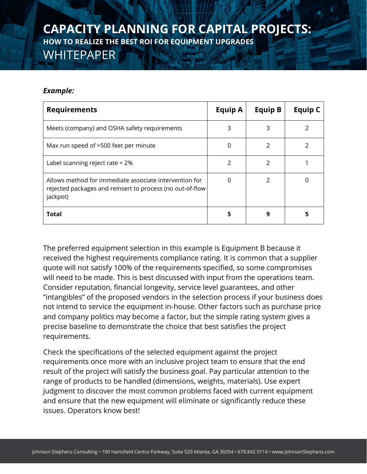#### *Example:*

| <b>Requirements</b>                                                                                                             | Equip A       | <b>Equip B</b> | <b>Equip C</b> |
|---------------------------------------------------------------------------------------------------------------------------------|---------------|----------------|----------------|
| Meets (company) and OSHA safety requirements                                                                                    | 3             | 3              | 2              |
| Max run speed of >500 feet per minute                                                                                           | 0             | $\mathcal{P}$  |                |
| Label scanning reject rate < 2%                                                                                                 | $\mathcal{P}$ | 2              |                |
| Allows method for immediate associate intervention for<br>rejected packages and reinsert to process (no out-of-flow<br>jackpot) | $\Omega$      | $\mathcal{P}$  | 0              |
| <b>Total</b>                                                                                                                    | 5             | 9              | 5              |

The preferred equipment selection in this example is Equipment B because it received the highest requirements compliance rating. It is common that a supplier quote will not satisfy 100% of the requirements specified, so some compromises will need to be made. This is best discussed with input from the operations team. Consider reputation, financial longevity, service level guarantees, and other "intangibles" of the proposed vendors in the selection process if your business does not intend to service the equipment in-house. Other factors such as purchase price and company politics may become a factor, but the simple rating system gives a precise baseline to demonstrate the choice that best satisfies the project requirements.

Check the specifications of the selected equipment against the project requirements once more with an inclusive project team to ensure that the end result of the project will satisfy the business goal. Pay particular attention to the range of products to be handled (dimensions, weights, materials). Use expert judgment to discover the most common problems faced with current equipment and ensure that the new equipment will eliminate or significantly reduce these issues. Operators know best!